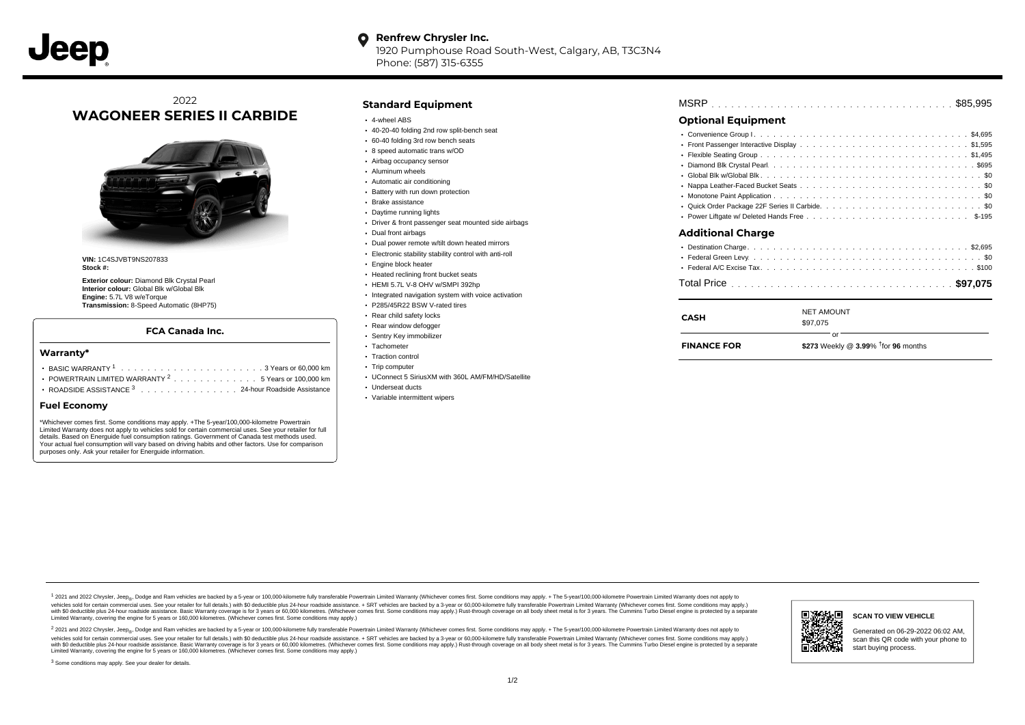#### **Renfrew Chrysler Inc.** O

1920 Pumphouse Road South-West, Calgary, AB, T3C3N4 Phone: (587) 315-6355

## 2022 **WAGONEER SERIES II CARBIDE**



**VIN:** 1C4SJVBT9NS207833 **Stock #:**

**Exterior colour:** Diamond Blk Crystal Pearl **Interior colour:** Global Blk w/Global Blk **Engine:** 5.7L V8 w/eTorque **Transmission:** 8-Speed Automatic (8HP75)

#### **FCA Canada Inc.**

#### **Warranty\***

- . . . . . . . . . . . . . . . . . . . . . . . . . . . . . . . . . . . . . . . . . . . BASIC WARRANTY <sup>1</sup> 3 Years or 60,000 km POWERTRAIN LIMITED WARRANTY  $2 \ldots \ldots \ldots \ldots \ldots 5$  Years or 100,000 km
- ROADSIDE ASSISTANCE 3 . . . . . . . . . . . . . . . 24-hour Roadside Assistance

#### **Fuel Economy**

\*Whichever comes first. Some conditions may apply. +The 5-year/100,000-kilometre Powertrain Limited Warranty does not apply to vehicles sold for certain commercial uses. See your retailer for full details. Based on Energuide fuel consumption ratings. Government of Canada test methods used. Your actual fuel consumption will vary based on driving habits and other factors. Use for comparison purposes only. Ask your retailer for Energuide information.

### **Standard Equipment**

- 4-wheel ABS
- 40-20-40 folding 2nd row split-bench seat
- 60-40 folding 3rd row bench seats
- 8 speed automatic trans w/OD
- Airbag occupancy sensor
- Aluminum wheels
- Automatic air conditioning • Battery with run down protection
- Brake assistance
- Daytime running lights
- 
- Driver & front passenger seat mounted side airbags
- Dual front airbags
- Dual power remote w/tilt down heated mirrors
- Electronic stability stability control with anti-roll
- Engine block heater
- Heated reclining front bucket seats
- HEMI 5.7L V-8 OHV w/SMPI 392hp
- Integrated navigation system with voice activation
- P285/45R22 BSW V-rated tires
- Rear child safety locks
- Rear window defogger
- Sentry Key immobilizer Tachometer
- Traction control
- Trip computer
- UConnect 5 SiriusXM with 360L AM/FM/HD/Satellite
- Underseat ducts
- Variable intermittent wipers

| <b>MSRP</b> |  |  |  |  |  |  |  |  |  |  |  |  |  |  |  |  |  |  |  |  |  |  |  |  |  |  |  |  |  |  |  |  |  |  |  |  |  |  |
|-------------|--|--|--|--|--|--|--|--|--|--|--|--|--|--|--|--|--|--|--|--|--|--|--|--|--|--|--|--|--|--|--|--|--|--|--|--|--|--|
|-------------|--|--|--|--|--|--|--|--|--|--|--|--|--|--|--|--|--|--|--|--|--|--|--|--|--|--|--|--|--|--|--|--|--|--|--|--|--|--|

## **Optional Equipment**

| <b>Additional Charge</b> |
|--------------------------|
|                          |
|                          |
|                          |
|                          |

| CASH               | <b>NET AMOUNT</b><br>\$97.075                      |
|--------------------|----------------------------------------------------|
| <b>FINANCE FOR</b> | \$273 Weekly @ $3.99\%$ <sup>†</sup> for 96 months |

1 2021 and 2022 Chrysler, Jeep<sub>er</sub>, Dodge and Ram vehicles are backed by a 5-year or 100,000-kilometre fully transferable Powertrain Limited Warranty (Whichever comes first. Some conditions may apply. + The 5-year/100,000debt of the product of the control and season to the control and the control of the control of the control of the control of the control of the SA-hour madside assistance. + SRT vehicles are backed by a 3-year or 60.00-kil ventals and contract when the contract when the contract you contract when the contract when the control of the set of a set of a set of a set of 3 years of 60,000 kilometres. Whichever comes first. Some conditions may app Limited Warranty, covering the engine for 5 years or 160,000 kilometres. (Whichever comes first. Some conditions may apply.)

2 2021 and 2022 Chrysler, Jeep<sub>es</sub> Dodge and Ram vehicles are backed by a 5-year or 100,000-kilometre fully transferable Powertrain Limited Warranty (Whichever comes first. Some conditions may apply. + The 5-year/100,000-k vehicles sold for certain commercial uses. See your retailer for full details.) with SO deductible plus 24-hour roadside assistance. + SRT vehicles are backed by a 3-year or 60.000-kilometre fully transferable Powertrain L with S0 deductible plus 24-hour roadside assistance. Basic Warranty coverage is for 3 years or 60,000 kilometres. (Whichever comes first. Some conditions may apply.) Rust-through coverage on all body sheet metal is for 3 y



**SCAN TO VIEW VEHICLE**

Generated on 06-29-2022 06:02 AM, scan this QR code with your phone to start buying process.

<sup>3</sup> Some conditions may apply. See your dealer for details.